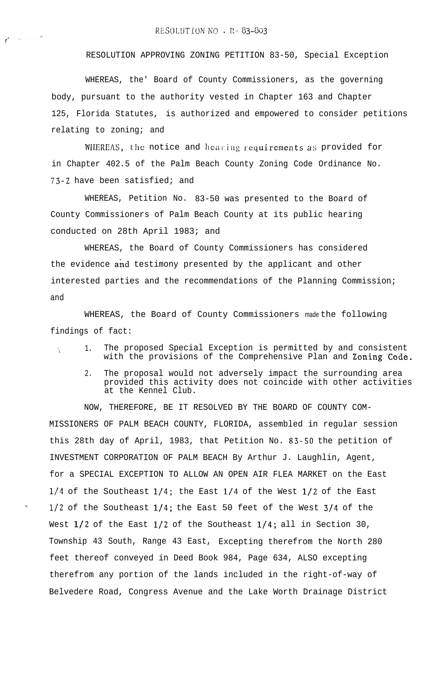RESOLUTION APPROVING ZONING PETITION 83-50, Special Exception

WHEREAS, the' Board of County Commissioners, as the governing body, pursuant to the authority vested in Chapter 163 and Chapter 125, Florida Statutes, is authorized and empowered to consider petitions relating to zoning; and

WIIEREAS, the notice and hearing requirements as provided for in Chapter 402.5 of the Palm Beach County Zoning Code Ordinance No. 73-2 have been satisfied; and

WHEREAS, Petition No. 83-50 was presented to the Board of County Commissioners of Palm Beach County at its public hearing conducted on 28th April 1983; and

WHEREAS, the Board of County Commissioners has considered the evidence and testimony presented by the applicant and other interested parties and the recommendations of the Planning Commission; and

WHEREAS, the Board of County Commissioners made the following findings of fact:

- 1. The proposed Special Exception is permitted by and consistent with the provisions of the Comprehensive Plan and Zoning Code.
	- 2. The proposal would not adversely impact the surrounding area provided this activity does not coincide with other activities at the Kennel Club.

NOW, THEREFORE, BE IT RESOLVED BY THE BOARD OF COUNTY COM-MISSIONERS OF PALM BEACH COUNTY, FLORIDA, assembled in regular session this 28th day of April, 1983, that Petition No. 83-50 the petition of INVESTMENT CORPORATION OF PALM BEACH By Arthur J. Laughlin, Agent, for a SPECIAL EXCEPTION TO ALLOW AN OPEN AIR FLEA MARKET on the East l/4 of the Southeast l/4; the East l/4 of the West l/2 of the East  $1/2$  of the Southeast  $1/4$ ; the East 50 feet of the West  $3/4$  of the West  $1/2$  of the East  $1/2$  of the Southeast  $1/4$ ; all in Section 30, Township 43 South, Range 43 East, Excepting therefrom the North 280 feet thereof conveyed in Deed Book 984, Page 634, ALSO excepting therefrom any portion of the lands included in the right-of-way of Belvedere Road, Congress Avenue and the Lake Worth Drainage District

.